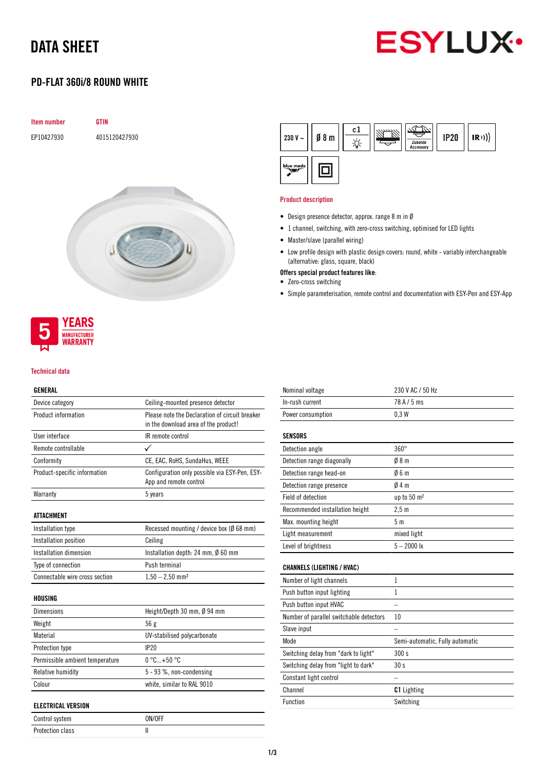## DATA SHEET



### PD-FLAT 360i/8 ROUND WHITE



## **MANUFACTURER WARRANTY**

**YEARS** 

#### Technical data

### GENERAL

| Device category                 | Ceiling-mounted presence detector                                                      |  |
|---------------------------------|----------------------------------------------------------------------------------------|--|
| Product information             | Please note the Declaration of circuit breaker<br>in the download area of the product! |  |
| User interface                  | IR remote control                                                                      |  |
| Remote controllable             |                                                                                        |  |
| Conformity                      | CE, EAC, RoHS, SundaHus, WEEE                                                          |  |
| Product-specific information    | Configuration only possible via ESY-Pen, ESY-<br>App and remote control                |  |
| Warranty                        | 5 years                                                                                |  |
| <b>ATTACHMENT</b>               |                                                                                        |  |
| Installation type               | Recessed mounting / device box (Ø 68 mm)                                               |  |
| Installation position           | Ceiling                                                                                |  |
| Installation dimension          | Installation depth: 24 mm, $\emptyset$ 60 mm                                           |  |
| Type of connection              | Push terminal                                                                          |  |
| Connectable wire cross section  | $1,50 - 2,50$ mm <sup>2</sup>                                                          |  |
| <b>HOUSING</b>                  |                                                                                        |  |
| <b>Dimensions</b>               | Height/Depth 30 mm, Ø 94 mm                                                            |  |
| Weight                          | 56g                                                                                    |  |
| Material                        | UV-stabilised polycarbonate                                                            |  |
| Protection type                 | IP20                                                                                   |  |
| Permissible ambient temperature | $0^{\circ}$ C+50 $^{\circ}$ C                                                          |  |
| Relative humidity               | 5 - 93 %, non-condensing                                                               |  |
| Colour                          | white, similar to RAL 9010                                                             |  |
| ELECTRICAL VERSION              |                                                                                        |  |

| Control system   | ON/OFF |
|------------------|--------|
| Protection class |        |



#### Product description

- Design presence detector, approx. range 8 m in Ø
- 1 channel, switching, with zero-cross switching, optimised for LED lights
- Master/slave (parallel wiring)
- Low profile design with plastic design covers: round, white variably interchangeable (alternative: glass, square, black)
- Offers special product features like:
- Zero-cross switching
- Simple parameterisation, remote control and documentation with ESY-Pen and ESY-App

| Nominal voltage                         | 230 V AC / 50 Hz                |
|-----------------------------------------|---------------------------------|
| In-rush current                         | 78 A / 5 ms                     |
| Power consumption                       | 0.3W                            |
| <b>SENSORS</b>                          |                                 |
| Detection angle                         | $360^\circ$                     |
| Detection range diagonally              | 08 <sub>m</sub>                 |
| Detection range head-on                 | 06m                             |
| Detection range presence                | 04m                             |
| Field of detection                      | up to 50 m <sup>2</sup>         |
| Recommended installation height         | 2.5 <sub>m</sub>                |
| Max. mounting height                    | 5 <sub>m</sub>                  |
| Light measurement                       | mixed light                     |
| Level of brightness                     | $5 - 2000$ lx                   |
| <b>CHANNELS (LIGHTING / HVAC)</b>       |                                 |
| Number of light channels                | 1                               |
| Push button input lighting              | 1                               |
| Push button input HVAC                  |                                 |
| Number of parallel switchable detectors | 10                              |
| Slave input                             |                                 |
| Mode                                    | Semi-automatic, Fully automatic |
| Switching delay from "dark to light"    | 300 s                           |
| Switching delay from "light to dark"    | 30 <sub>s</sub>                 |
| Constant light control                  |                                 |
| Channel                                 | <b>C1</b> Lighting              |
| Function                                | Switching                       |
|                                         |                                 |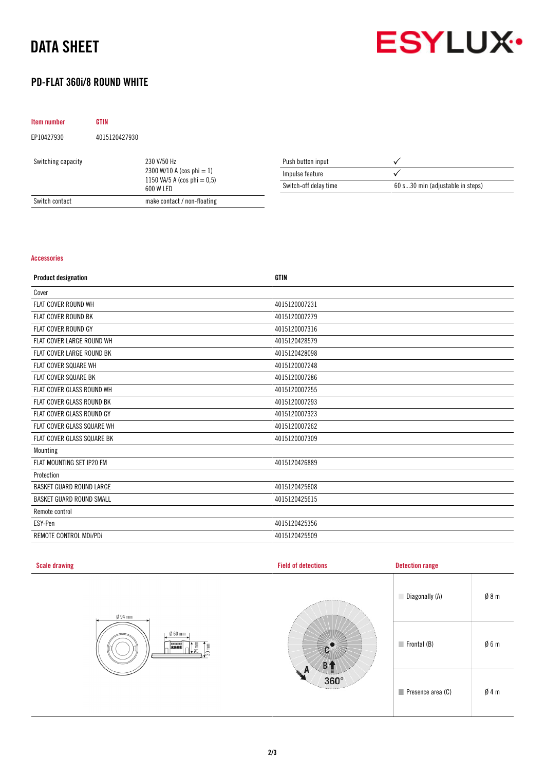## DATA SHEET



### PD-FLAT 360i/8 ROUND WHITE

| Item number        | <b>GTIN</b>   |                                                                                            |                       |                                  |
|--------------------|---------------|--------------------------------------------------------------------------------------------|-----------------------|----------------------------------|
| EP10427930         | 4015120427930 |                                                                                            |                       |                                  |
| Switching capacity |               | 230 V/50 Hz<br>2300 W/10 A (cos phi $= 1$ )<br>1150 VA/5 A (cos phi = $0.5$ )<br>600 W LED | Push button input     |                                  |
|                    |               |                                                                                            | Impulse feature       |                                  |
|                    |               |                                                                                            | Switch-off delay time | 60 s30 min (adjustable in steps) |
| Switch contact     |               | make contact / non-floating                                                                |                       |                                  |

#### Accessories

| <b>Product designation</b>      | <b>GTIN</b>   |
|---------------------------------|---------------|
| Cover                           |               |
| FLAT COVER ROUND WH             | 4015120007231 |
| <b>FLAT COVER ROUND BK</b>      | 4015120007279 |
| <b>FLAT COVER ROUND GY</b>      | 4015120007316 |
| FLAT COVER LARGE ROUND WH       | 4015120428579 |
| FLAT COVER LARGE ROUND BK       | 4015120428098 |
| <b>FLAT COVER SQUARE WH</b>     | 4015120007248 |
| FLAT COVER SQUARE BK            | 4015120007286 |
| FLAT COVER GLASS ROUND WH       | 4015120007255 |
| FLAT COVER GLASS ROUND BK       | 4015120007293 |
| FLAT COVER GLASS ROUND GY       | 4015120007323 |
| FLAT COVER GLASS SQUARE WH      | 4015120007262 |
| FLAT COVER GLASS SQUARE BK      | 4015120007309 |
| Mounting                        |               |
| FLAT MOUNTING SET IP20 FM       | 4015120426889 |
| Protection                      |               |
| <b>BASKET GUARD ROUND LARGE</b> | 4015120425608 |
| <b>BASKET GUARD ROUND SMALL</b> | 4015120425615 |
| Remote control                  |               |
| ESY-Pen                         | 4015120425356 |
| REMOTE CONTROL MDi/PDi          | 4015120425509 |